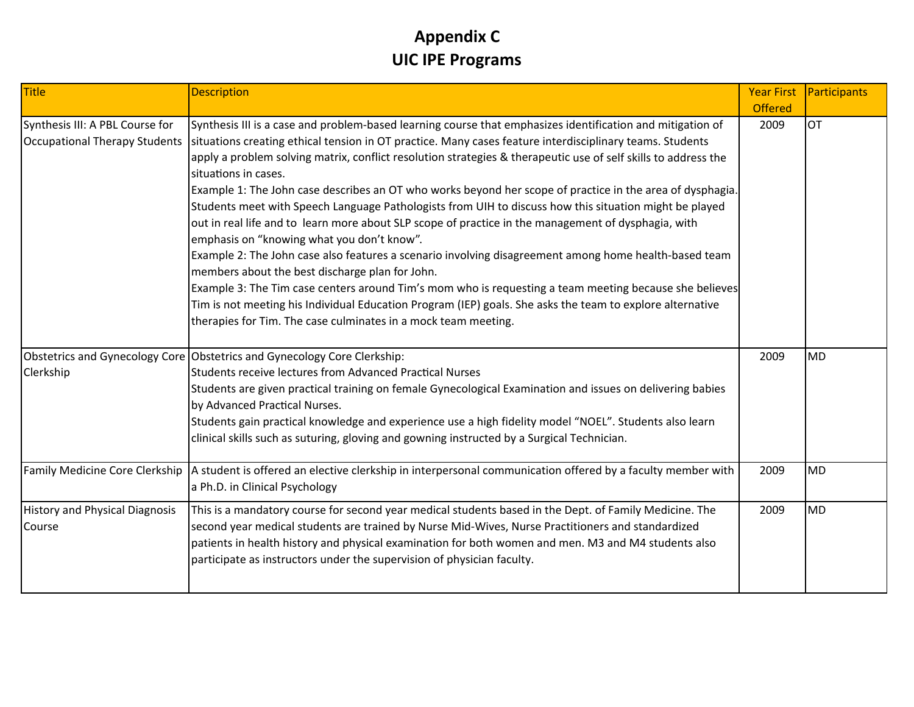#### **Appendix C UIC IPE Programs**

| Title                                                            | <b>Description</b>                                                                                                                                                                                                                                                                                                                                                                                                                                                                                                                                                                                                                                                                                                                                                                                                                                                                                                                                                                                                                                                                                                                                                                                | <b>Year First</b> | Participants |
|------------------------------------------------------------------|---------------------------------------------------------------------------------------------------------------------------------------------------------------------------------------------------------------------------------------------------------------------------------------------------------------------------------------------------------------------------------------------------------------------------------------------------------------------------------------------------------------------------------------------------------------------------------------------------------------------------------------------------------------------------------------------------------------------------------------------------------------------------------------------------------------------------------------------------------------------------------------------------------------------------------------------------------------------------------------------------------------------------------------------------------------------------------------------------------------------------------------------------------------------------------------------------|-------------------|--------------|
|                                                                  |                                                                                                                                                                                                                                                                                                                                                                                                                                                                                                                                                                                                                                                                                                                                                                                                                                                                                                                                                                                                                                                                                                                                                                                                   | <b>Offered</b>    |              |
| Synthesis III: A PBL Course for<br>Occupational Therapy Students | Synthesis III is a case and problem-based learning course that emphasizes identification and mitigation of<br>situations creating ethical tension in OT practice. Many cases feature interdisciplinary teams. Students<br>apply a problem solving matrix, conflict resolution strategies & therapeutic use of self skills to address the<br>situations in cases.<br>Example 1: The John case describes an OT who works beyond her scope of practice in the area of dysphagia.<br>Students meet with Speech Language Pathologists from UIH to discuss how this situation might be played<br>out in real life and to learn more about SLP scope of practice in the management of dysphagia, with<br>emphasis on "knowing what you don't know".<br>Example 2: The John case also features a scenario involving disagreement among home health-based team<br>members about the best discharge plan for John.<br>Example 3: The Tim case centers around Tim's mom who is requesting a team meeting because she believes<br>Tim is not meeting his Individual Education Program (IEP) goals. She asks the team to explore alternative<br>therapies for Tim. The case culminates in a mock team meeting. | 2009              | <b>OT</b>    |
| Clerkship                                                        | Obstetrics and Gynecology Core Obstetrics and Gynecology Core Clerkship:<br>Students receive lectures from Advanced Practical Nurses<br>Students are given practical training on female Gynecological Examination and issues on delivering babies<br>by Advanced Practical Nurses.<br>Students gain practical knowledge and experience use a high fidelity model "NOEL". Students also learn<br>clinical skills such as suturing, gloving and gowning instructed by a Surgical Technician.                                                                                                                                                                                                                                                                                                                                                                                                                                                                                                                                                                                                                                                                                                        | 2009              | <b>MD</b>    |
|                                                                  | Family Medicine Core Clerkship   A student is offered an elective clerkship in interpersonal communication offered by a faculty member with<br>a Ph.D. in Clinical Psychology                                                                                                                                                                                                                                                                                                                                                                                                                                                                                                                                                                                                                                                                                                                                                                                                                                                                                                                                                                                                                     | 2009              | <b>MD</b>    |
| <b>History and Physical Diagnosis</b><br>Course                  | This is a mandatory course for second year medical students based in the Dept. of Family Medicine. The<br>second year medical students are trained by Nurse Mid-Wives, Nurse Practitioners and standardized<br>patients in health history and physical examination for both women and men. M3 and M4 students also<br>participate as instructors under the supervision of physician faculty.                                                                                                                                                                                                                                                                                                                                                                                                                                                                                                                                                                                                                                                                                                                                                                                                      | 2009              | <b>MD</b>    |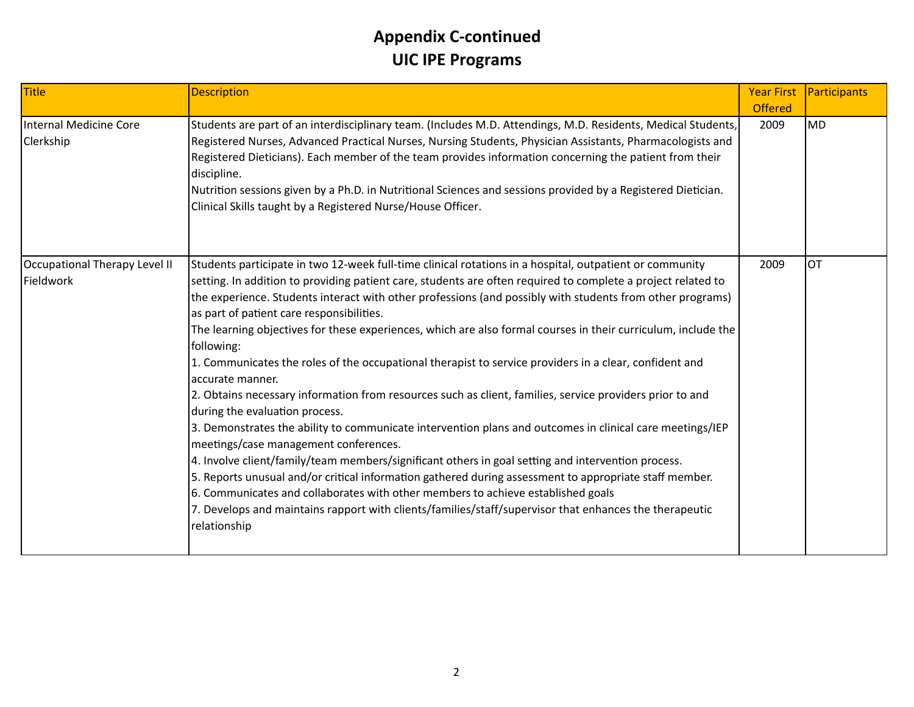| Title                                      | <b>Description</b>                                                                                                                                                                                                                                                                                                                                                                                                                                                                                                                                                                                                                                                                                                                                                                                                                                                                                                                                                                                                                                                                                                                                                                                                                                                                                                                                                              | <b>Year First</b><br><b>Offered</b> | Participants |
|--------------------------------------------|---------------------------------------------------------------------------------------------------------------------------------------------------------------------------------------------------------------------------------------------------------------------------------------------------------------------------------------------------------------------------------------------------------------------------------------------------------------------------------------------------------------------------------------------------------------------------------------------------------------------------------------------------------------------------------------------------------------------------------------------------------------------------------------------------------------------------------------------------------------------------------------------------------------------------------------------------------------------------------------------------------------------------------------------------------------------------------------------------------------------------------------------------------------------------------------------------------------------------------------------------------------------------------------------------------------------------------------------------------------------------------|-------------------------------------|--------------|
| Internal Medicine Core<br>Clerkship        | Students are part of an interdisciplinary team. (Includes M.D. Attendings, M.D. Residents, Medical Students,<br>Registered Nurses, Advanced Practical Nurses, Nursing Students, Physician Assistants, Pharmacologists and<br>Registered Dieticians). Each member of the team provides information concerning the patient from their<br>discipline.<br>Nutrition sessions given by a Ph.D. in Nutritional Sciences and sessions provided by a Registered Dietician.<br>Clinical Skills taught by a Registered Nurse/House Officer.                                                                                                                                                                                                                                                                                                                                                                                                                                                                                                                                                                                                                                                                                                                                                                                                                                               | 2009                                | <b>MD</b>    |
| Occupational Therapy Level II<br>Fieldwork | Students participate in two 12-week full-time clinical rotations in a hospital, outpatient or community<br>setting. In addition to providing patient care, students are often required to complete a project related to<br>the experience. Students interact with other professions (and possibly with students from other programs)<br>as part of patient care responsibilities.<br>The learning objectives for these experiences, which are also formal courses in their curriculum, include the<br>following:<br>1. Communicates the roles of the occupational therapist to service providers in a clear, confident and<br>accurate manner.<br>2. Obtains necessary information from resources such as client, families, service providers prior to and<br>during the evaluation process.<br>3. Demonstrates the ability to communicate intervention plans and outcomes in clinical care meetings/IEP<br>meetings/case management conferences.<br>4. Involve client/family/team members/significant others in goal setting and intervention process.<br>5. Reports unusual and/or critical information gathered during assessment to appropriate staff member.<br>6. Communicates and collaborates with other members to achieve established goals<br>7. Develops and maintains rapport with clients/families/staff/supervisor that enhances the therapeutic<br>relationship | 2009                                | <b>OT</b>    |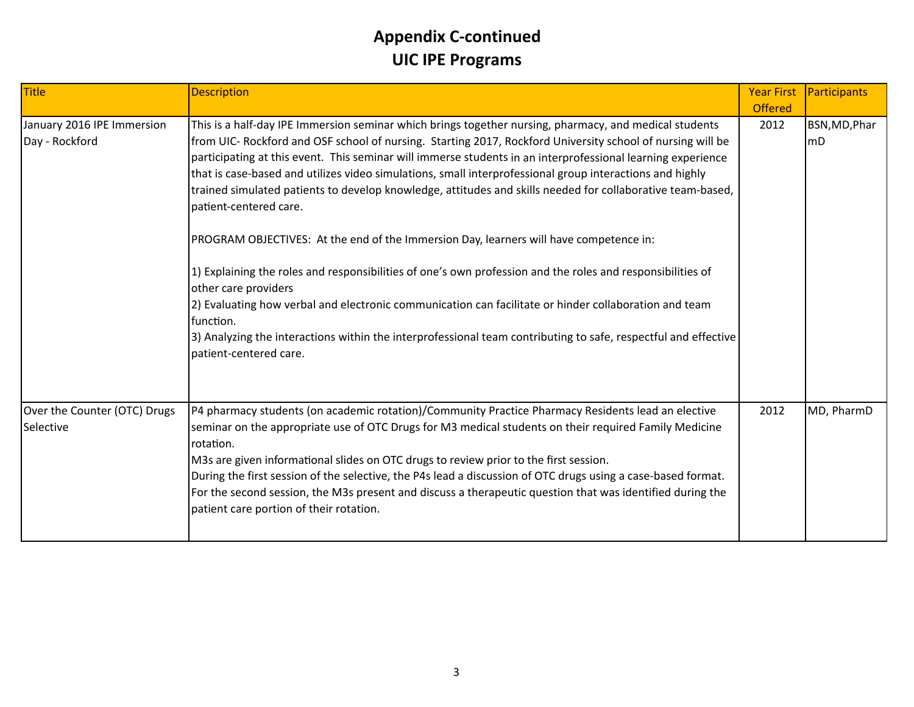| Title                                        | <b>Description</b>                                                                                                                                                                                                                                                                                                                                                                                                                                                                                                                                                                                                                                                                                                                                                                                                                                                                                                                                                                                                                                                                        | <b>Year First</b><br><b>Offered</b> | Participants        |
|----------------------------------------------|-------------------------------------------------------------------------------------------------------------------------------------------------------------------------------------------------------------------------------------------------------------------------------------------------------------------------------------------------------------------------------------------------------------------------------------------------------------------------------------------------------------------------------------------------------------------------------------------------------------------------------------------------------------------------------------------------------------------------------------------------------------------------------------------------------------------------------------------------------------------------------------------------------------------------------------------------------------------------------------------------------------------------------------------------------------------------------------------|-------------------------------------|---------------------|
| January 2016 IPE Immersion<br>Day - Rockford | This is a half-day IPE Immersion seminar which brings together nursing, pharmacy, and medical students<br>from UIC- Rockford and OSF school of nursing. Starting 2017, Rockford University school of nursing will be<br>participating at this event. This seminar will immerse students in an interprofessional learning experience<br>that is case-based and utilizes video simulations, small interprofessional group interactions and highly<br>trained simulated patients to develop knowledge, attitudes and skills needed for collaborative team-based,<br>patient-centered care.<br>PROGRAM OBJECTIVES: At the end of the Immersion Day, learners will have competence in:<br>1) Explaining the roles and responsibilities of one's own profession and the roles and responsibilities of<br>other care providers<br>2) Evaluating how verbal and electronic communication can facilitate or hinder collaboration and team<br>function.<br>3) Analyzing the interactions within the interprofessional team contributing to safe, respectful and effective<br>patient-centered care. | 2012                                | BSN, MD, Phar<br>mD |
| Over the Counter (OTC) Drugs<br>Selective    | P4 pharmacy students (on academic rotation)/Community Practice Pharmacy Residents lead an elective<br>seminar on the appropriate use of OTC Drugs for M3 medical students on their required Family Medicine<br>rotation.<br>M3s are given informational slides on OTC drugs to review prior to the first session.<br>During the first session of the selective, the P4s lead a discussion of OTC drugs using a case-based format.<br>For the second session, the M3s present and discuss a therapeutic question that was identified during the<br>patient care portion of their rotation.                                                                                                                                                                                                                                                                                                                                                                                                                                                                                                 | 2012                                | MD, PharmD          |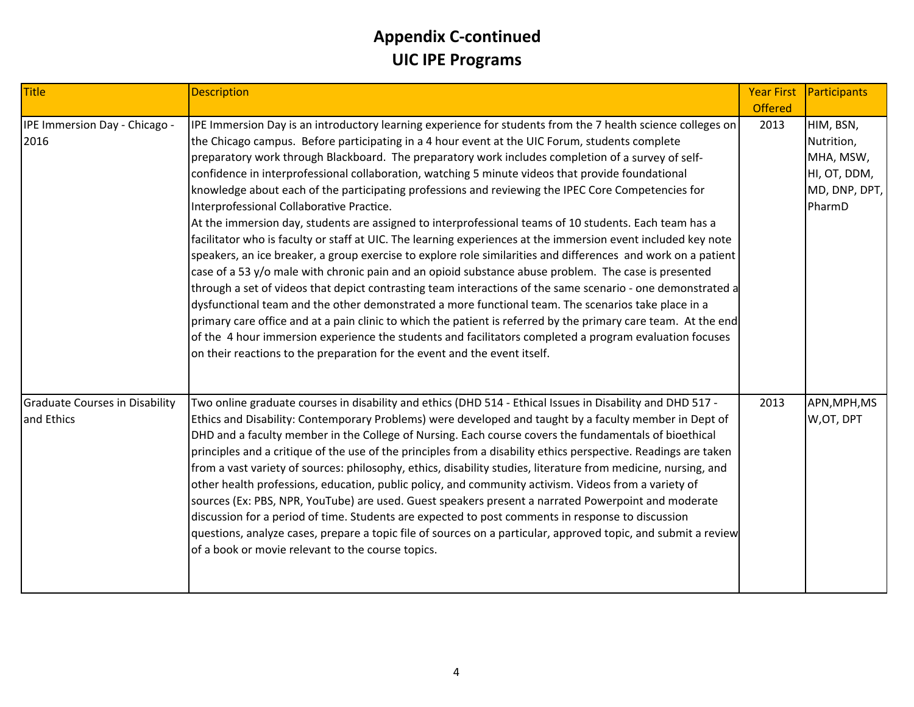| Title                                               | <b>Description</b>                                                                                                                                                                                                                                                                                                                                                                                                                                                                                                                                                                                                                                                                                                                                                                                                                                                                                                                                                                                                                                                                                                                                                                                                                                                                                                                                                                                                                                                                                                                                              | <b>Year First</b><br><b>Offered</b> | Participants                                                                    |
|-----------------------------------------------------|-----------------------------------------------------------------------------------------------------------------------------------------------------------------------------------------------------------------------------------------------------------------------------------------------------------------------------------------------------------------------------------------------------------------------------------------------------------------------------------------------------------------------------------------------------------------------------------------------------------------------------------------------------------------------------------------------------------------------------------------------------------------------------------------------------------------------------------------------------------------------------------------------------------------------------------------------------------------------------------------------------------------------------------------------------------------------------------------------------------------------------------------------------------------------------------------------------------------------------------------------------------------------------------------------------------------------------------------------------------------------------------------------------------------------------------------------------------------------------------------------------------------------------------------------------------------|-------------------------------------|---------------------------------------------------------------------------------|
| IPE Immersion Day - Chicago -<br>2016               | IPE Immersion Day is an introductory learning experience for students from the 7 health science colleges on<br>the Chicago campus. Before participating in a 4 hour event at the UIC Forum, students complete<br>preparatory work through Blackboard. The preparatory work includes completion of a survey of self-<br>confidence in interprofessional collaboration, watching 5 minute videos that provide foundational<br>knowledge about each of the participating professions and reviewing the IPEC Core Competencies for<br>Interprofessional Collaborative Practice.<br>At the immersion day, students are assigned to interprofessional teams of 10 students. Each team has a<br>facilitator who is faculty or staff at UIC. The learning experiences at the immersion event included key note<br>speakers, an ice breaker, a group exercise to explore role similarities and differences and work on a patient<br>case of a 53 y/o male with chronic pain and an opioid substance abuse problem. The case is presented<br>through a set of videos that depict contrasting team interactions of the same scenario - one demonstrated a<br>dysfunctional team and the other demonstrated a more functional team. The scenarios take place in a<br>primary care office and at a pain clinic to which the patient is referred by the primary care team. At the end<br>of the 4 hour immersion experience the students and facilitators completed a program evaluation focuses<br>on their reactions to the preparation for the event and the event itself. | 2013                                | HIM, BSN,<br>Nutrition,<br>MHA, MSW,<br>HI, OT, DDM,<br>MD, DNP, DPT,<br>PharmD |
| <b>Graduate Courses in Disability</b><br>and Ethics | - Two online graduate courses in disability and ethics (DHD 514 - Ethical Issues in Disability and DHD 517<br>Ethics and Disability: Contemporary Problems) were developed and taught by a faculty member in Dept of<br>DHD and a faculty member in the College of Nursing. Each course covers the fundamentals of bioethical<br>principles and a critique of the use of the principles from a disability ethics perspective. Readings are taken<br>from a vast variety of sources: philosophy, ethics, disability studies, literature from medicine, nursing, and<br>other health professions, education, public policy, and community activism. Videos from a variety of<br>sources (Ex: PBS, NPR, YouTube) are used. Guest speakers present a narrated Powerpoint and moderate<br>discussion for a period of time. Students are expected to post comments in response to discussion<br>questions, analyze cases, prepare a topic file of sources on a particular, approved topic, and submit a review<br>of a book or movie relevant to the course topics.                                                                                                                                                                                                                                                                                                                                                                                                                                                                                                   | 2013                                | APN, MPH, MS<br>W,OT, DPT                                                       |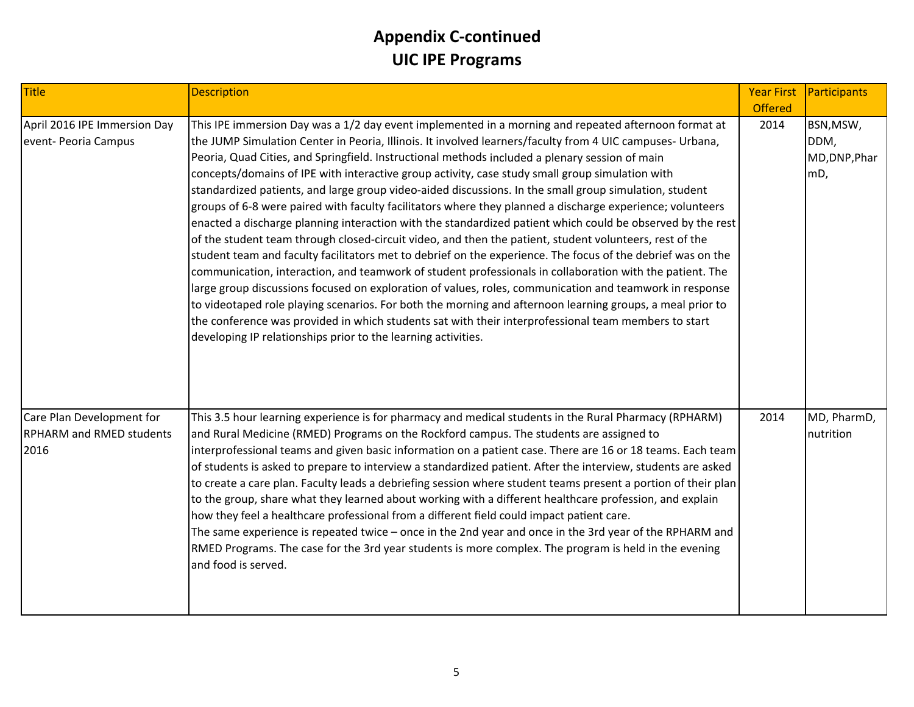| Title                                                                | <b>Description</b>                                                                                                                                                                                                                                                                                                                                                                                                                                                                                                                                                                                                                                                                                                                                                                                                                                                                                                                                                                                                                                                                                                                                                                                                                                                                                                                                                                                                                                                                                 | <b>Year First</b> | Participants                              |
|----------------------------------------------------------------------|----------------------------------------------------------------------------------------------------------------------------------------------------------------------------------------------------------------------------------------------------------------------------------------------------------------------------------------------------------------------------------------------------------------------------------------------------------------------------------------------------------------------------------------------------------------------------------------------------------------------------------------------------------------------------------------------------------------------------------------------------------------------------------------------------------------------------------------------------------------------------------------------------------------------------------------------------------------------------------------------------------------------------------------------------------------------------------------------------------------------------------------------------------------------------------------------------------------------------------------------------------------------------------------------------------------------------------------------------------------------------------------------------------------------------------------------------------------------------------------------------|-------------------|-------------------------------------------|
|                                                                      |                                                                                                                                                                                                                                                                                                                                                                                                                                                                                                                                                                                                                                                                                                                                                                                                                                                                                                                                                                                                                                                                                                                                                                                                                                                                                                                                                                                                                                                                                                    | <b>Offered</b>    |                                           |
| April 2016 IPE Immersion Day<br>event- Peoria Campus                 | This IPE immersion Day was a 1/2 day event implemented in a morning and repeated afternoon format at<br>the JUMP Simulation Center in Peoria, Illinois. It involved learners/faculty from 4 UIC campuses- Urbana,<br>Peoria, Quad Cities, and Springfield. Instructional methods included a plenary session of main<br>concepts/domains of IPE with interactive group activity, case study small group simulation with<br>standardized patients, and large group video-aided discussions. In the small group simulation, student<br>groups of 6-8 were paired with faculty facilitators where they planned a discharge experience; volunteers<br>enacted a discharge planning interaction with the standardized patient which could be observed by the rest<br>of the student team through closed-circuit video, and then the patient, student volunteers, rest of the<br>student team and faculty facilitators met to debrief on the experience. The focus of the debrief was on the<br>communication, interaction, and teamwork of student professionals in collaboration with the patient. The<br>large group discussions focused on exploration of values, roles, communication and teamwork in response<br>to videotaped role playing scenarios. For both the morning and afternoon learning groups, a meal prior to<br>the conference was provided in which students sat with their interprofessional team members to start<br>developing IP relationships prior to the learning activities. | 2014              | BSN, MSW,<br>DDM,<br>MD, DNP, Phar<br>mD, |
| Care Plan Development for<br><b>RPHARM and RMED students</b><br>2016 | This 3.5 hour learning experience is for pharmacy and medical students in the Rural Pharmacy (RPHARM)<br>and Rural Medicine (RMED) Programs on the Rockford campus. The students are assigned to<br>interprofessional teams and given basic information on a patient case. There are 16 or 18 teams. Each team<br>of students is asked to prepare to interview a standardized patient. After the interview, students are asked<br>to create a care plan. Faculty leads a debriefing session where student teams present a portion of their plan<br>to the group, share what they learned about working with a different healthcare profession, and explain<br>how they feel a healthcare professional from a different field could impact patient care.<br>The same experience is repeated twice - once in the 2nd year and once in the 3rd year of the RPHARM and<br>RMED Programs. The case for the 3rd year students is more complex. The program is held in the evening<br>and food is served.                                                                                                                                                                                                                                                                                                                                                                                                                                                                                                 | 2014              | MD, PharmD,<br>nutrition                  |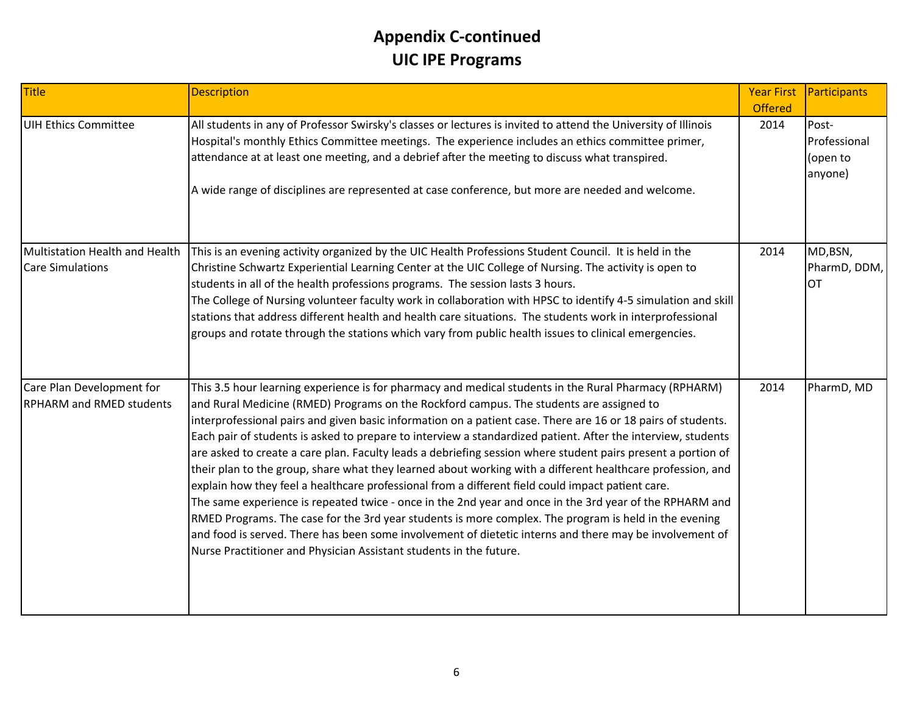| Title                                                        | <b>Description</b>                                                                                                                                                                                                                                                                                                                                                                                                                                                                                                                                                                                                                                                                                                                                                                                                                                                                                                                                                                                                                                                                                                                                                       | <b>Year First</b> | Participants                                 |
|--------------------------------------------------------------|--------------------------------------------------------------------------------------------------------------------------------------------------------------------------------------------------------------------------------------------------------------------------------------------------------------------------------------------------------------------------------------------------------------------------------------------------------------------------------------------------------------------------------------------------------------------------------------------------------------------------------------------------------------------------------------------------------------------------------------------------------------------------------------------------------------------------------------------------------------------------------------------------------------------------------------------------------------------------------------------------------------------------------------------------------------------------------------------------------------------------------------------------------------------------|-------------------|----------------------------------------------|
|                                                              |                                                                                                                                                                                                                                                                                                                                                                                                                                                                                                                                                                                                                                                                                                                                                                                                                                                                                                                                                                                                                                                                                                                                                                          | <b>Offered</b>    |                                              |
| UIH Ethics Committee                                         | All students in any of Professor Swirsky's classes or lectures is invited to attend the University of Illinois<br>Hospital's monthly Ethics Committee meetings. The experience includes an ethics committee primer,<br>attendance at at least one meeting, and a debrief after the meeting to discuss what transpired.<br>A wide range of disciplines are represented at case conference, but more are needed and welcome.                                                                                                                                                                                                                                                                                                                                                                                                                                                                                                                                                                                                                                                                                                                                               | 2014              | Post-<br>Professional<br>(open to<br>anyone) |
| Multistation Health and Health<br><b>Care Simulations</b>    | This is an evening activity organized by the UIC Health Professions Student Council. It is held in the<br>Christine Schwartz Experiential Learning Center at the UIC College of Nursing. The activity is open to<br>students in all of the health professions programs. The session lasts 3 hours.<br>The College of Nursing volunteer faculty work in collaboration with HPSC to identify 4-5 simulation and skill<br>stations that address different health and health care situations. The students work in interprofessional<br>groups and rotate through the stations which vary from public health issues to clinical emergencies.                                                                                                                                                                                                                                                                                                                                                                                                                                                                                                                                 | 2014              | MD,BSN,<br>PharmD, DDM,<br><b>OT</b>         |
| Care Plan Development for<br><b>RPHARM and RMED students</b> | This 3.5 hour learning experience is for pharmacy and medical students in the Rural Pharmacy (RPHARM)<br>and Rural Medicine (RMED) Programs on the Rockford campus. The students are assigned to<br>interprofessional pairs and given basic information on a patient case. There are 16 or 18 pairs of students.<br>Each pair of students is asked to prepare to interview a standardized patient. After the interview, students<br>are asked to create a care plan. Faculty leads a debriefing session where student pairs present a portion of<br>their plan to the group, share what they learned about working with a different healthcare profession, and<br>explain how they feel a healthcare professional from a different field could impact patient care.<br>The same experience is repeated twice - once in the 2nd year and once in the 3rd year of the RPHARM and<br>RMED Programs. The case for the 3rd year students is more complex. The program is held in the evening<br>and food is served. There has been some involvement of dietetic interns and there may be involvement of<br>Nurse Practitioner and Physician Assistant students in the future. | 2014              | PharmD, MD                                   |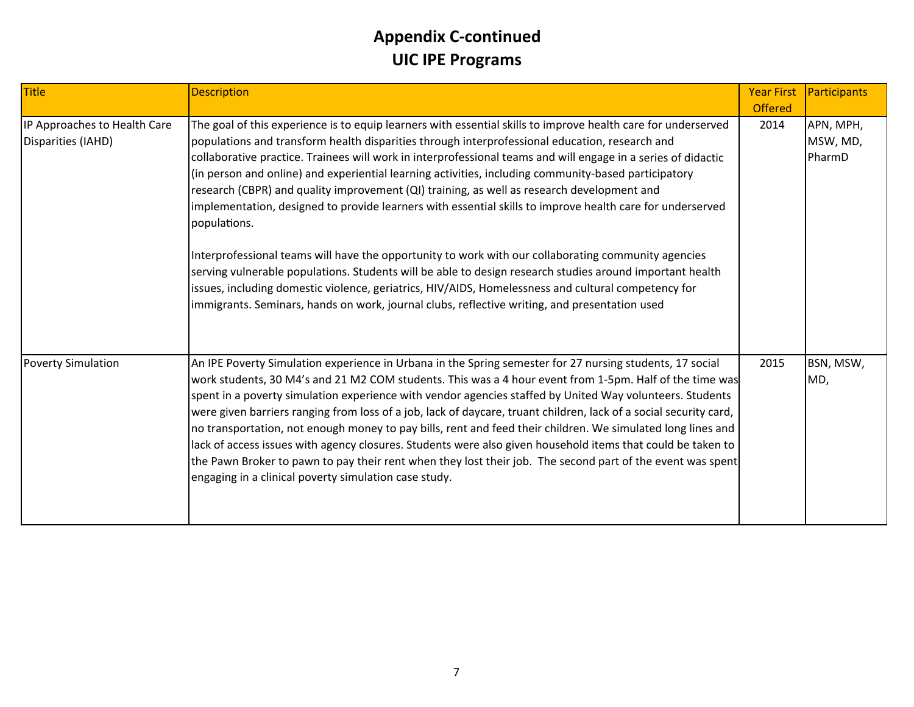| <b>Title</b>                                       | <b>Description</b>                                                                                                                                                                                                                                                                                                                                                                                                                                                                                                                                                                                                                                                                                                                                                                                                                                                                                                                                                                                                                                                                             | <b>Year First</b><br><b>Offered</b> | Participants                    |
|----------------------------------------------------|------------------------------------------------------------------------------------------------------------------------------------------------------------------------------------------------------------------------------------------------------------------------------------------------------------------------------------------------------------------------------------------------------------------------------------------------------------------------------------------------------------------------------------------------------------------------------------------------------------------------------------------------------------------------------------------------------------------------------------------------------------------------------------------------------------------------------------------------------------------------------------------------------------------------------------------------------------------------------------------------------------------------------------------------------------------------------------------------|-------------------------------------|---------------------------------|
| IP Approaches to Health Care<br>Disparities (IAHD) | The goal of this experience is to equip learners with essential skills to improve health care for underserved<br>populations and transform health disparities through interprofessional education, research and<br>collaborative practice. Trainees will work in interprofessional teams and will engage in a series of didactic<br>(in person and online) and experiential learning activities, including community-based participatory<br>research (CBPR) and quality improvement (QI) training, as well as research development and<br>implementation, designed to provide learners with essential skills to improve health care for underserved<br>populations.<br>Interprofessional teams will have the opportunity to work with our collaborating community agencies<br>serving vulnerable populations. Students will be able to design research studies around important health<br>issues, including domestic violence, geriatrics, HIV/AIDS, Homelessness and cultural competency for<br>immigrants. Seminars, hands on work, journal clubs, reflective writing, and presentation used | 2014                                | APN, MPH,<br>MSW, MD,<br>PharmD |
| <b>Poverty Simulation</b>                          | An IPE Poverty Simulation experience in Urbana in the Spring semester for 27 nursing students, 17 social<br>work students, 30 M4's and 21 M2 COM students. This was a 4 hour event from 1-5pm. Half of the time was<br>spent in a poverty simulation experience with vendor agencies staffed by United Way volunteers. Students<br>were given barriers ranging from loss of a job, lack of daycare, truant children, lack of a social security card,<br>no transportation, not enough money to pay bills, rent and feed their children. We simulated long lines and<br>lack of access issues with agency closures. Students were also given household items that could be taken to<br>the Pawn Broker to pawn to pay their rent when they lost their job. The second part of the event was spent<br>engaging in a clinical poverty simulation case study.                                                                                                                                                                                                                                      | 2015                                | BSN, MSW,<br>MD,                |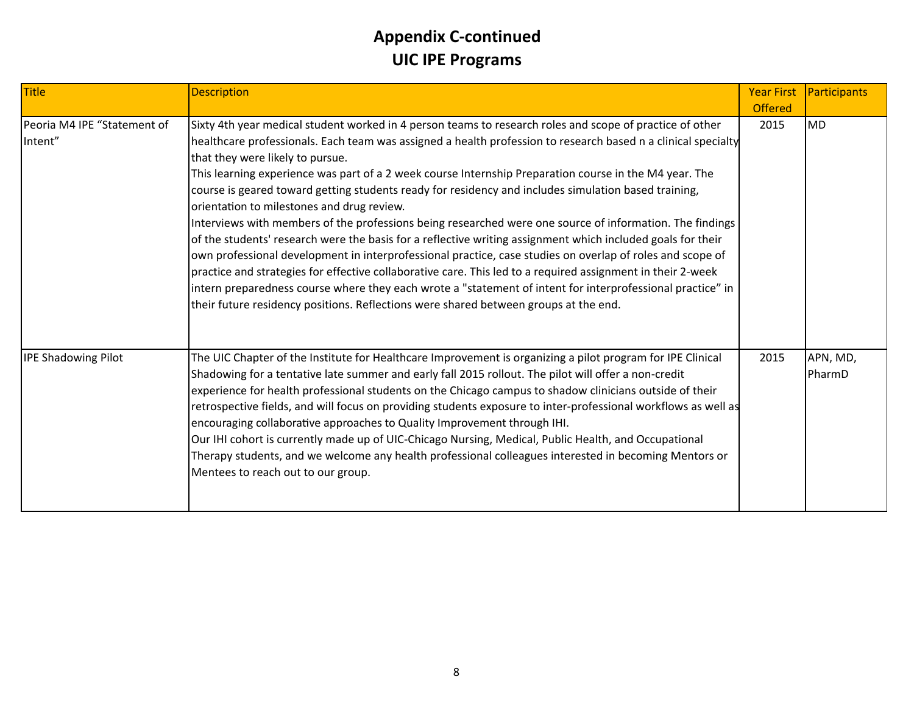| <b>Title</b>                           | <b>Description</b>                                                                                                                                                                                                                                                                                                                                                                                                                                                                                                                                                                                                                                                                                                                                                                                                                                                                                                                                                                                                                                                                                                                                                                         | <b>Year First</b><br><b>Offered</b> | Participants       |
|----------------------------------------|--------------------------------------------------------------------------------------------------------------------------------------------------------------------------------------------------------------------------------------------------------------------------------------------------------------------------------------------------------------------------------------------------------------------------------------------------------------------------------------------------------------------------------------------------------------------------------------------------------------------------------------------------------------------------------------------------------------------------------------------------------------------------------------------------------------------------------------------------------------------------------------------------------------------------------------------------------------------------------------------------------------------------------------------------------------------------------------------------------------------------------------------------------------------------------------------|-------------------------------------|--------------------|
| Peoria M4 IPE "Statement of<br>Intent" | Sixty 4th year medical student worked in 4 person teams to research roles and scope of practice of other<br>healthcare professionals. Each team was assigned a health profession to research based n a clinical specialty<br>that they were likely to pursue.<br>This learning experience was part of a 2 week course Internship Preparation course in the M4 year. The<br>course is geared toward getting students ready for residency and includes simulation based training,<br>orientation to milestones and drug review.<br>Interviews with members of the professions being researched were one source of information. The findings<br>of the students' research were the basis for a reflective writing assignment which included goals for their<br>own professional development in interprofessional practice, case studies on overlap of roles and scope of<br>practice and strategies for effective collaborative care. This led to a required assignment in their 2-week<br>intern preparedness course where they each wrote a "statement of intent for interprofessional practice" in<br>their future residency positions. Reflections were shared between groups at the end. | 2015                                | <b>MD</b>          |
| <b>IPE Shadowing Pilot</b>             | The UIC Chapter of the Institute for Healthcare Improvement is organizing a pilot program for IPE Clinical<br>Shadowing for a tentative late summer and early fall 2015 rollout. The pilot will offer a non-credit<br>experience for health professional students on the Chicago campus to shadow clinicians outside of their<br>retrospective fields, and will focus on providing students exposure to inter-professional workflows as well as<br>encouraging collaborative approaches to Quality Improvement through IHI.<br>Our IHI cohort is currently made up of UIC-Chicago Nursing, Medical, Public Health, and Occupational<br>Therapy students, and we welcome any health professional colleagues interested in becoming Mentors or<br>Mentees to reach out to our group.                                                                                                                                                                                                                                                                                                                                                                                                         | 2015                                | APN, MD,<br>PharmD |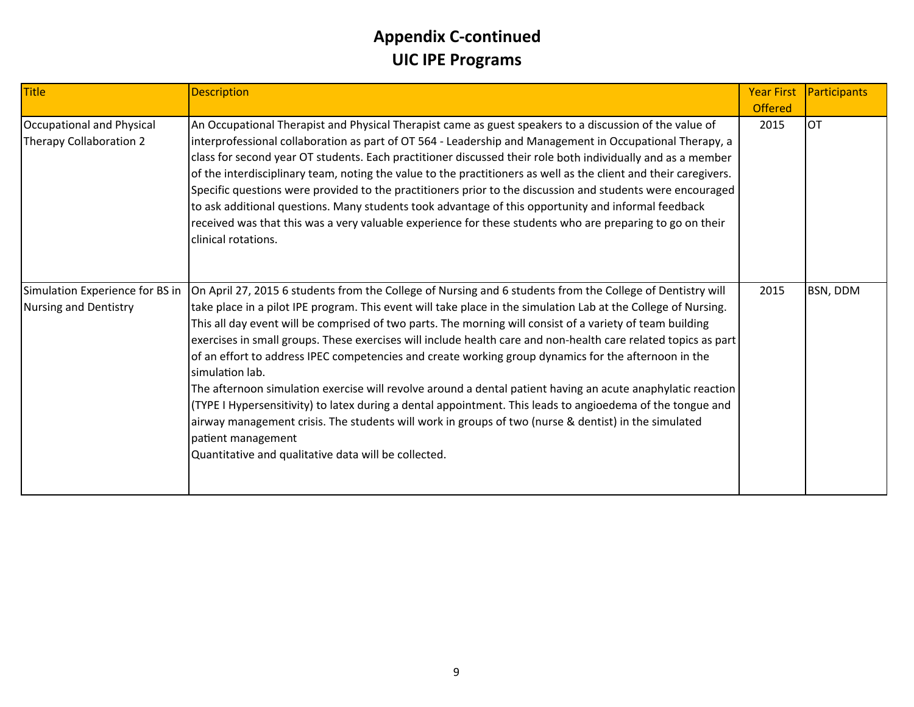| <b>Title</b>                                             | <b>Description</b>                                                                                                                                                                                                                                                                                                                                                                                                                                                                                                                                                                                                                                                                                                                                                                                                                                                                                                                                                                                        | <b>Year First</b><br><b>Offered</b> | Participants |
|----------------------------------------------------------|-----------------------------------------------------------------------------------------------------------------------------------------------------------------------------------------------------------------------------------------------------------------------------------------------------------------------------------------------------------------------------------------------------------------------------------------------------------------------------------------------------------------------------------------------------------------------------------------------------------------------------------------------------------------------------------------------------------------------------------------------------------------------------------------------------------------------------------------------------------------------------------------------------------------------------------------------------------------------------------------------------------|-------------------------------------|--------------|
| Occupational and Physical<br>Therapy Collaboration 2     | An Occupational Therapist and Physical Therapist came as guest speakers to a discussion of the value of<br>interprofessional collaboration as part of OT 564 - Leadership and Management in Occupational Therapy, a<br>class for second year OT students. Each practitioner discussed their role both individually and as a member<br>of the interdisciplinary team, noting the value to the practitioners as well as the client and their caregivers.<br>Specific questions were provided to the practitioners prior to the discussion and students were encouraged<br>to ask additional questions. Many students took advantage of this opportunity and informal feedback<br>received was that this was a very valuable experience for these students who are preparing to go on their<br>clinical rotations.                                                                                                                                                                                           | 2015                                | Іот          |
| Simulation Experience for BS in<br>Nursing and Dentistry | On April 27, 2015 6 students from the College of Nursing and 6 students from the College of Dentistry will<br>take place in a pilot IPE program. This event will take place in the simulation Lab at the College of Nursing.<br>This all day event will be comprised of two parts. The morning will consist of a variety of team building<br>exercises in small groups. These exercises will include health care and non-health care related topics as part<br>of an effort to address IPEC competencies and create working group dynamics for the afternoon in the<br>simulation lab.<br>The afternoon simulation exercise will revolve around a dental patient having an acute anaphylatic reaction<br>(TYPE I Hypersensitivity) to latex during a dental appointment. This leads to angioedema of the tongue and<br>airway management crisis. The students will work in groups of two (nurse & dentist) in the simulated<br>patient management<br>Quantitative and qualitative data will be collected. | 2015                                | BSN, DDM     |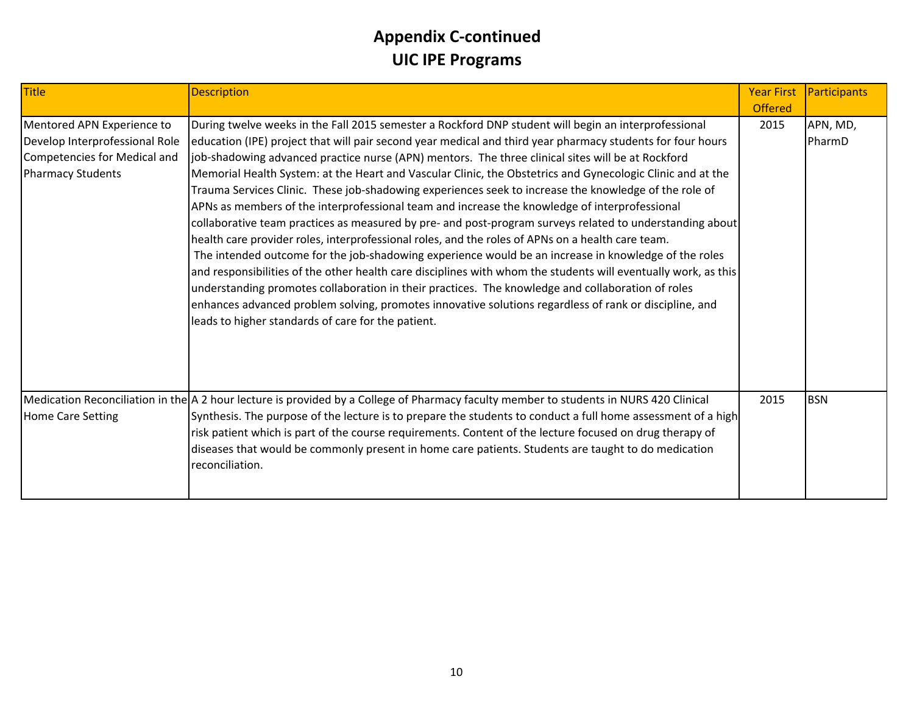| <b>Title</b>                                                                                                             | <b>Description</b>                                                                                                                                                                                                                                                                                                                                                                                                                                                                                                                                                                                                                                                                                                                                                                                                                                                                                                                                                                                                                                                                                                                                                                                                                                                                                                                                              | <b>Year First</b><br><b>Offered</b> | Participants       |
|--------------------------------------------------------------------------------------------------------------------------|-----------------------------------------------------------------------------------------------------------------------------------------------------------------------------------------------------------------------------------------------------------------------------------------------------------------------------------------------------------------------------------------------------------------------------------------------------------------------------------------------------------------------------------------------------------------------------------------------------------------------------------------------------------------------------------------------------------------------------------------------------------------------------------------------------------------------------------------------------------------------------------------------------------------------------------------------------------------------------------------------------------------------------------------------------------------------------------------------------------------------------------------------------------------------------------------------------------------------------------------------------------------------------------------------------------------------------------------------------------------|-------------------------------------|--------------------|
| Mentored APN Experience to<br>Develop Interprofessional Role<br>Competencies for Medical and<br><b>Pharmacy Students</b> | During twelve weeks in the Fall 2015 semester a Rockford DNP student will begin an interprofessional<br>education (IPE) project that will pair second year medical and third year pharmacy students for four hours<br>job-shadowing advanced practice nurse (APN) mentors. The three clinical sites will be at Rockford<br>Memorial Health System: at the Heart and Vascular Clinic, the Obstetrics and Gynecologic Clinic and at the<br>Trauma Services Clinic. These job-shadowing experiences seek to increase the knowledge of the role of<br>APNs as members of the interprofessional team and increase the knowledge of interprofessional<br>collaborative team practices as measured by pre- and post-program surveys related to understanding about<br>health care provider roles, interprofessional roles, and the roles of APNs on a health care team.<br>The intended outcome for the job-shadowing experience would be an increase in knowledge of the roles<br>and responsibilities of the other health care disciplines with whom the students will eventually work, as this<br>understanding promotes collaboration in their practices. The knowledge and collaboration of roles<br>enhances advanced problem solving, promotes innovative solutions regardless of rank or discipline, and<br>leads to higher standards of care for the patient. | 2015                                | APN, MD,<br>PharmD |
| Home Care Setting                                                                                                        | Medication Reconciliation in the A 2 hour lecture is provided by a College of Pharmacy faculty member to students in NURS 420 Clinical<br>Synthesis. The purpose of the lecture is to prepare the students to conduct a full home assessment of a high<br>risk patient which is part of the course requirements. Content of the lecture focused on drug therapy of<br>diseases that would be commonly present in home care patients. Students are taught to do medication<br>reconciliation.                                                                                                                                                                                                                                                                                                                                                                                                                                                                                                                                                                                                                                                                                                                                                                                                                                                                    | 2015                                | <b>BSN</b>         |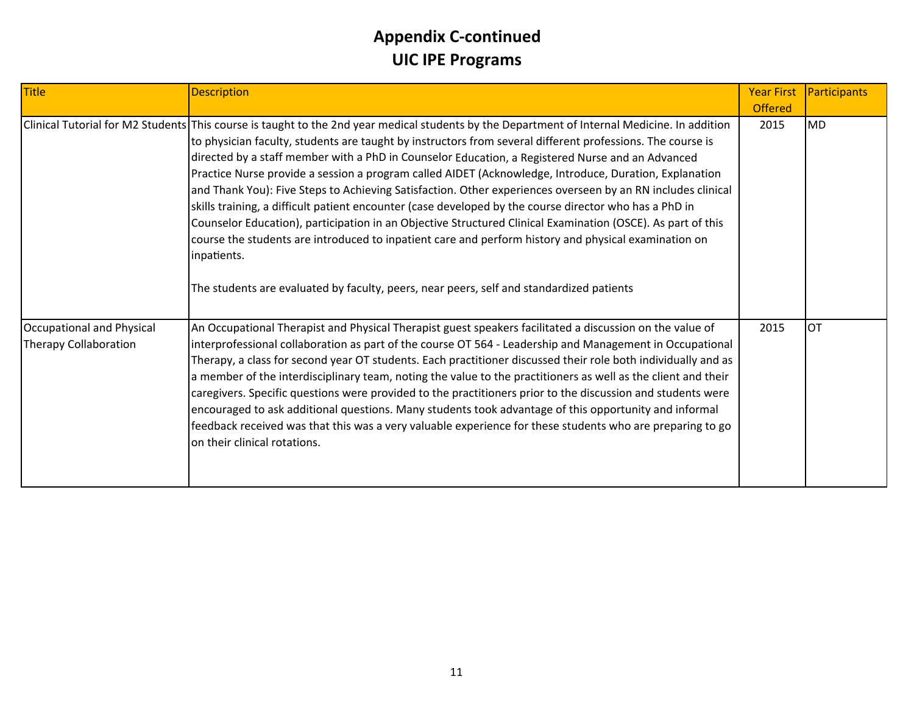| Title                                              | <b>Description</b>                                                                                                                                                                                                                                                                                                                                                                                                                                                                                                                                                                                                                                                                                                                                                                                                                                                                                                                                                                                                                  | <b>Year First</b><br><b>Offered</b> | Participants |
|----------------------------------------------------|-------------------------------------------------------------------------------------------------------------------------------------------------------------------------------------------------------------------------------------------------------------------------------------------------------------------------------------------------------------------------------------------------------------------------------------------------------------------------------------------------------------------------------------------------------------------------------------------------------------------------------------------------------------------------------------------------------------------------------------------------------------------------------------------------------------------------------------------------------------------------------------------------------------------------------------------------------------------------------------------------------------------------------------|-------------------------------------|--------------|
|                                                    | Clinical Tutorial for M2 Students This course is taught to the 2nd year medical students by the Department of Internal Medicine. In addition<br>to physician faculty, students are taught by instructors from several different professions. The course is<br>directed by a staff member with a PhD in Counselor Education, a Registered Nurse and an Advanced<br>Practice Nurse provide a session a program called AIDET (Acknowledge, Introduce, Duration, Explanation<br>and Thank You): Five Steps to Achieving Satisfaction. Other experiences overseen by an RN includes clinical<br>skills training, a difficult patient encounter (case developed by the course director who has a PhD in<br>Counselor Education), participation in an Objective Structured Clinical Examination (OSCE). As part of this<br>course the students are introduced to inpatient care and perform history and physical examination on<br>inpatients.<br>The students are evaluated by faculty, peers, near peers, self and standardized patients | 2015                                | <b>MD</b>    |
| Occupational and Physical<br>Therapy Collaboration | An Occupational Therapist and Physical Therapist guest speakers facilitated a discussion on the value of<br>interprofessional collaboration as part of the course OT 564 - Leadership and Management in Occupational<br>Therapy, a class for second year OT students. Each practitioner discussed their role both individually and as<br>a member of the interdisciplinary team, noting the value to the practitioners as well as the client and their<br>caregivers. Specific questions were provided to the practitioners prior to the discussion and students were<br>encouraged to ask additional questions. Many students took advantage of this opportunity and informal<br>feedback received was that this was a very valuable experience for these students who are preparing to go<br>on their clinical rotations.                                                                                                                                                                                                         | 2015                                | <b>OT</b>    |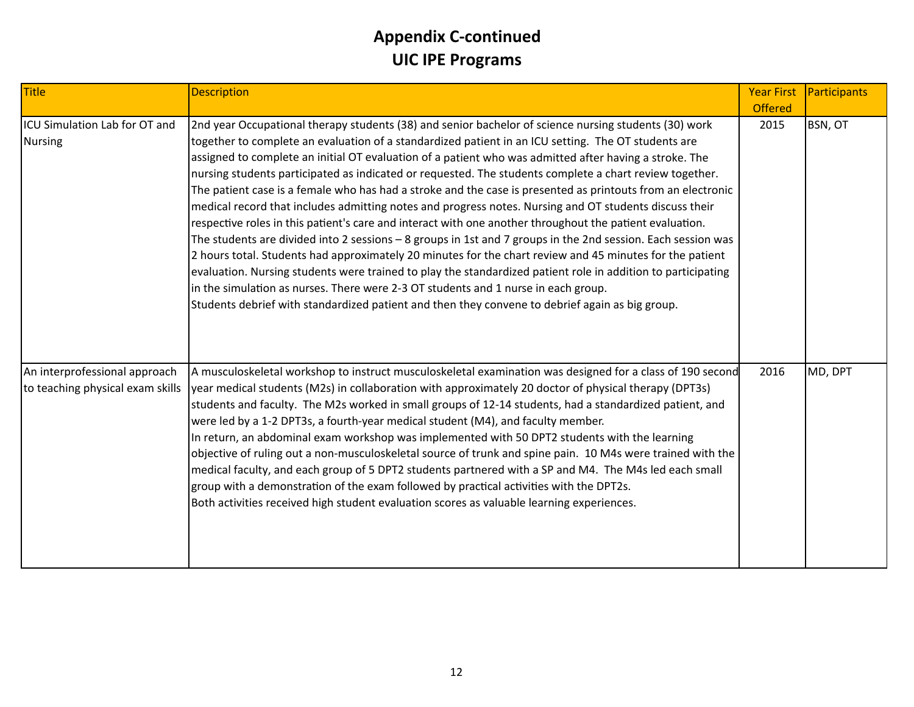| Title                                                             | <b>Description</b>                                                                                                                                                                                                                                                                                                                                                                                                                                                                                                                                                                                                                                                                                                                                                                                                                                                                                                                                                                                                                                                                                                                                                                                                                                                                                          | <b>Year First</b><br><b>Offered</b> | Participants |
|-------------------------------------------------------------------|-------------------------------------------------------------------------------------------------------------------------------------------------------------------------------------------------------------------------------------------------------------------------------------------------------------------------------------------------------------------------------------------------------------------------------------------------------------------------------------------------------------------------------------------------------------------------------------------------------------------------------------------------------------------------------------------------------------------------------------------------------------------------------------------------------------------------------------------------------------------------------------------------------------------------------------------------------------------------------------------------------------------------------------------------------------------------------------------------------------------------------------------------------------------------------------------------------------------------------------------------------------------------------------------------------------|-------------------------------------|--------------|
| ICU Simulation Lab for OT and<br><b>Nursing</b>                   | 2nd year Occupational therapy students (38) and senior bachelor of science nursing students (30) work<br>together to complete an evaluation of a standardized patient in an ICU setting. The OT students are<br>assigned to complete an initial OT evaluation of a patient who was admitted after having a stroke. The<br>nursing students participated as indicated or requested. The students complete a chart review together.<br>The patient case is a female who has had a stroke and the case is presented as printouts from an electronic<br>medical record that includes admitting notes and progress notes. Nursing and OT students discuss their<br>respective roles in this patient's care and interact with one another throughout the patient evaluation.<br>The students are divided into 2 sessions - 8 groups in 1st and 7 groups in the 2nd session. Each session was<br>2 hours total. Students had approximately 20 minutes for the chart review and 45 minutes for the patient<br>evaluation. Nursing students were trained to play the standardized patient role in addition to participating<br>in the simulation as nurses. There were 2-3 OT students and 1 nurse in each group.<br>Students debrief with standardized patient and then they convene to debrief again as big group. | 2015                                | BSN, OT      |
| An interprofessional approach<br>to teaching physical exam skills | A musculoskeletal workshop to instruct musculoskeletal examination was designed for a class of 190 second<br>year medical students (M2s) in collaboration with approximately 20 doctor of physical therapy (DPT3s)<br>students and faculty. The M2s worked in small groups of 12-14 students, had a standardized patient, and<br>were led by a 1-2 DPT3s, a fourth-year medical student (M4), and faculty member.<br>In return, an abdominal exam workshop was implemented with 50 DPT2 students with the learning<br>objective of ruling out a non-musculoskeletal source of trunk and spine pain. 10 M4s were trained with the<br>medical faculty, and each group of 5 DPT2 students partnered with a SP and M4. The M4s led each small<br>group with a demonstration of the exam followed by practical activities with the DPT2s.<br>Both activities received high student evaluation scores as valuable learning experiences.                                                                                                                                                                                                                                                                                                                                                                           | 2016                                | MD, DPT      |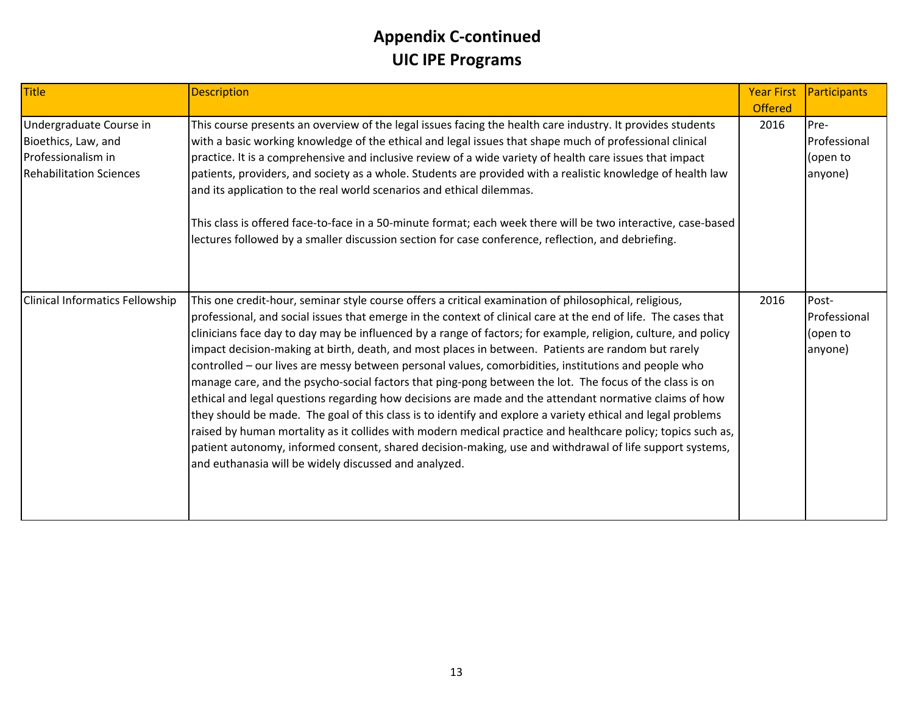| <b>Title</b>                                                                                           | <b>Description</b>                                                                                                                                                                                                                                                                                                                                                                                                                                                                                                                                                                                                                                                                                                                                                                                                                                                                                                                                                                                                                                                                                                                                                              | <b>Year First</b><br><b>Offered</b> | Participants                                 |
|--------------------------------------------------------------------------------------------------------|---------------------------------------------------------------------------------------------------------------------------------------------------------------------------------------------------------------------------------------------------------------------------------------------------------------------------------------------------------------------------------------------------------------------------------------------------------------------------------------------------------------------------------------------------------------------------------------------------------------------------------------------------------------------------------------------------------------------------------------------------------------------------------------------------------------------------------------------------------------------------------------------------------------------------------------------------------------------------------------------------------------------------------------------------------------------------------------------------------------------------------------------------------------------------------|-------------------------------------|----------------------------------------------|
| Undergraduate Course in<br>Bioethics, Law, and<br>Professionalism in<br><b>Rehabilitation Sciences</b> | This course presents an overview of the legal issues facing the health care industry. It provides students<br>with a basic working knowledge of the ethical and legal issues that shape much of professional clinical<br>practice. It is a comprehensive and inclusive review of a wide variety of health care issues that impact<br>patients, providers, and society as a whole. Students are provided with a realistic knowledge of health law<br>and its application to the real world scenarios and ethical dilemmas.<br>This class is offered face-to-face in a 50-minute format; each week there will be two interactive, case-based<br>lectures followed by a smaller discussion section for case conference, reflection, and debriefing.                                                                                                                                                                                                                                                                                                                                                                                                                                | 2016                                | Pre-<br>Professional<br>(open to<br>anyone)  |
| Clinical Informatics Fellowship                                                                        | This one credit-hour, seminar style course offers a critical examination of philosophical, religious,<br>professional, and social issues that emerge in the context of clinical care at the end of life. The cases that<br>clinicians face day to day may be influenced by a range of factors; for example, religion, culture, and policy<br>impact decision-making at birth, death, and most places in between. Patients are random but rarely<br>controlled - our lives are messy between personal values, comorbidities, institutions and people who<br>manage care, and the psycho-social factors that ping-pong between the lot. The focus of the class is on<br>ethical and legal questions regarding how decisions are made and the attendant normative claims of how<br>they should be made. The goal of this class is to identify and explore a variety ethical and legal problems<br>raised by human mortality as it collides with modern medical practice and healthcare policy; topics such as,<br>patient autonomy, informed consent, shared decision-making, use and withdrawal of life support systems,<br>and euthanasia will be widely discussed and analyzed. | 2016                                | Post-<br>Professional<br>(open to<br>anyone) |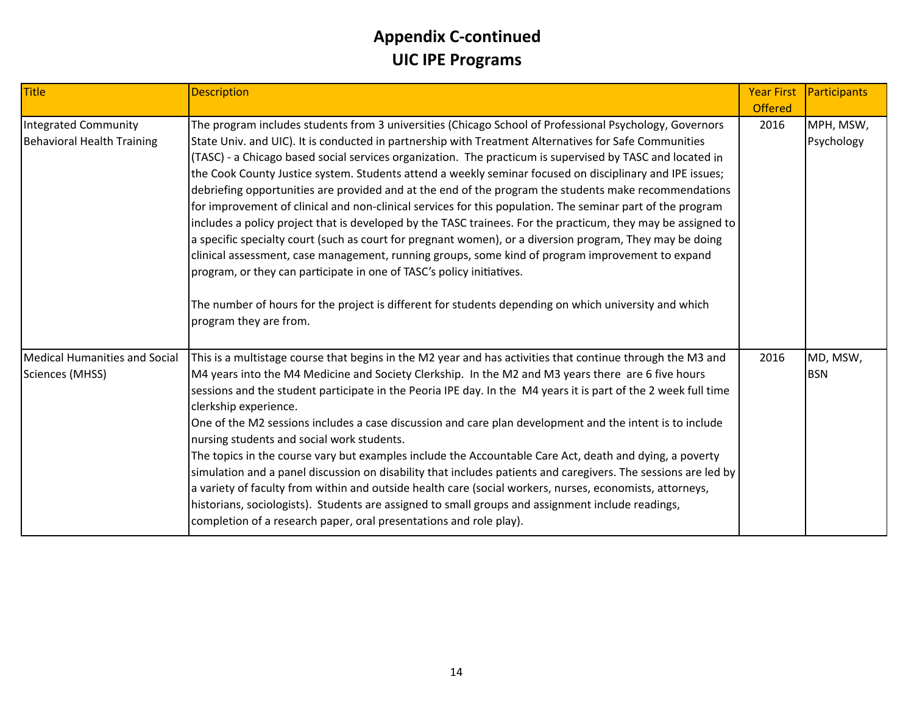| Title                                              | <b>Description</b>                                                                                                                                                                                                                                                                                                                                                                                                                                                                                                                                                                                                                                                                                                                                                                                                                                                                                                                                                                                                                                                                                                                                                                                           | <b>Year First</b><br><b>Offered</b> | Participants            |
|----------------------------------------------------|--------------------------------------------------------------------------------------------------------------------------------------------------------------------------------------------------------------------------------------------------------------------------------------------------------------------------------------------------------------------------------------------------------------------------------------------------------------------------------------------------------------------------------------------------------------------------------------------------------------------------------------------------------------------------------------------------------------------------------------------------------------------------------------------------------------------------------------------------------------------------------------------------------------------------------------------------------------------------------------------------------------------------------------------------------------------------------------------------------------------------------------------------------------------------------------------------------------|-------------------------------------|-------------------------|
| Integrated Community<br>Behavioral Health Training | The program includes students from 3 universities (Chicago School of Professional Psychology, Governors<br>State Univ. and UIC). It is conducted in partnership with Treatment Alternatives for Safe Communities<br>(TASC) - a Chicago based social services organization. The practicum is supervised by TASC and located in<br>the Cook County Justice system. Students attend a weekly seminar focused on disciplinary and IPE issues;<br>debriefing opportunities are provided and at the end of the program the students make recommendations<br>for improvement of clinical and non-clinical services for this population. The seminar part of the program<br>includes a policy project that is developed by the TASC trainees. For the practicum, they may be assigned to<br>a specific specialty court (such as court for pregnant women), or a diversion program, They may be doing<br>clinical assessment, case management, running groups, some kind of program improvement to expand<br>program, or they can participate in one of TASC's policy initiatives.<br>The number of hours for the project is different for students depending on which university and which<br>program they are from. | 2016                                | MPH, MSW,<br>Psychology |
| Medical Humanities and Social<br>Sciences (MHSS)   | This is a multistage course that begins in the M2 year and has activities that continue through the M3 and<br>M4 years into the M4 Medicine and Society Clerkship. In the M2 and M3 years there are 6 five hours<br>sessions and the student participate in the Peoria IPE day. In the M4 years it is part of the 2 week full time<br>clerkship experience.<br>One of the M2 sessions includes a case discussion and care plan development and the intent is to include<br>nursing students and social work students.<br>The topics in the course vary but examples include the Accountable Care Act, death and dying, a poverty<br>simulation and a panel discussion on disability that includes patients and caregivers. The sessions are led by<br>a variety of faculty from within and outside health care (social workers, nurses, economists, attorneys,<br>historians, sociologists). Students are assigned to small groups and assignment include readings,<br>completion of a research paper, oral presentations and role play).                                                                                                                                                                    | 2016                                | MD, MSW,<br><b>BSN</b>  |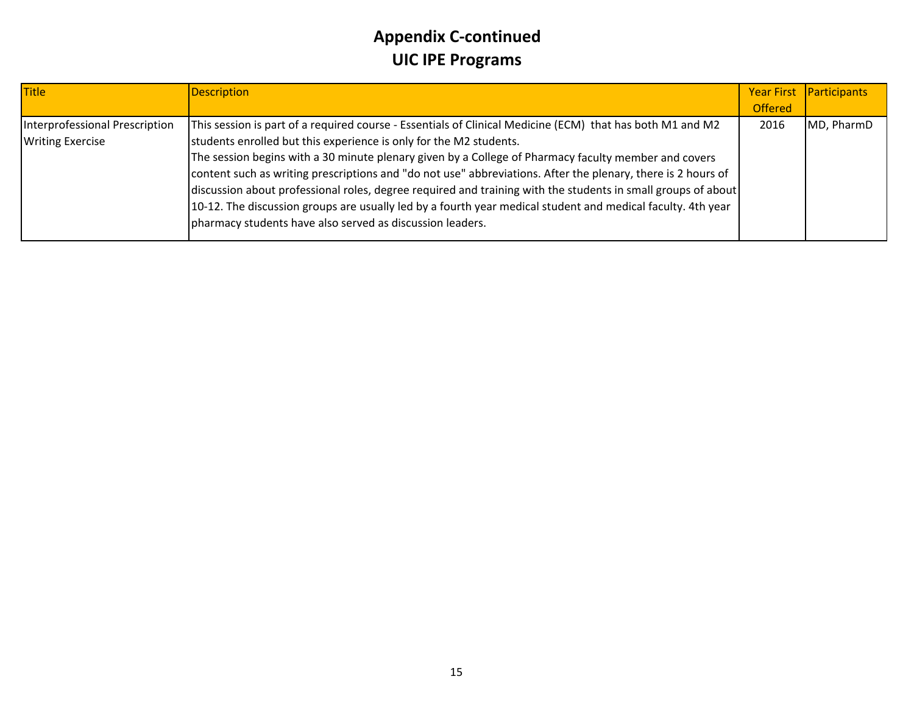| <b>Title</b>                   | <b>Description</b>                                                                                           |                | Year First Participants |
|--------------------------------|--------------------------------------------------------------------------------------------------------------|----------------|-------------------------|
|                                |                                                                                                              | <b>Offered</b> |                         |
| Interprofessional Prescription | This session is part of a required course - Essentials of Clinical Medicine (ECM) that has both M1 and M2    | 2016           | MD, PharmD              |
| <b>Writing Exercise</b>        | students enrolled but this experience is only for the M2 students.                                           |                |                         |
|                                | The session begins with a 30 minute plenary given by a College of Pharmacy faculty member and covers         |                |                         |
|                                | content such as writing prescriptions and "do not use" abbreviations. After the plenary, there is 2 hours of |                |                         |
|                                | discussion about professional roles, degree required and training with the students in small groups of about |                |                         |
|                                | 10-12. The discussion groups are usually led by a fourth year medical student and medical faculty. 4th year  |                |                         |
|                                | pharmacy students have also served as discussion leaders.                                                    |                |                         |
|                                |                                                                                                              |                |                         |